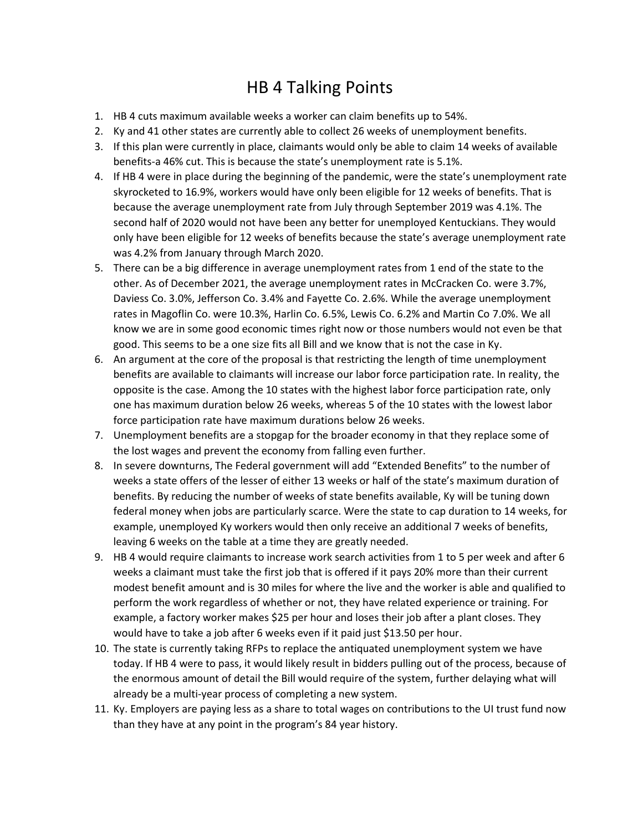## HB 4 Talking Points

- 1. HB 4 cuts maximum available weeks a worker can claim benefits up to 54%.
- 2. Ky and 41 other states are currently able to collect 26 weeks of unemployment benefits.
- 3. If this plan were currently in place, claimants would only be able to claim 14 weeks of available benefits-a 46% cut. This is because the state's unemployment rate is 5.1%.
- 4. If HB 4 were in place during the beginning of the pandemic, were the state's unemployment rate skyrocketed to 16.9%, workers would have only been eligible for 12 weeks of benefits. That is because the average unemployment rate from July through September 2019 was 4.1%. The second half of 2020 would not have been any better for unemployed Kentuckians. They would only have been eligible for 12 weeks of benefits because the state's average unemployment rate was 4.2% from January through March 2020.
- 5. There can be a big difference in average unemployment rates from 1 end of the state to the other. As of December 2021, the average unemployment rates in McCracken Co. were 3.7%, Daviess Co. 3.0%, Jefferson Co. 3.4% and Fayette Co. 2.6%. While the average unemployment rates in Magoflin Co. were 10.3%, Harlin Co. 6.5%, Lewis Co. 6.2% and Martin Co 7.0%. We all know we are in some good economic times right now or those numbers would not even be that good. This seems to be a one size fits all Bill and we know that is not the case in Ky.
- 6. An argument at the core of the proposal is that restricting the length of time unemployment benefits are available to claimants will increase our labor force participation rate. In reality, the opposite is the case. Among the 10 states with the highest labor force participation rate, only one has maximum duration below 26 weeks, whereas 5 of the 10 states with the lowest labor force participation rate have maximum durations below 26 weeks.
- 7. Unemployment benefits are a stopgap for the broader economy in that they replace some of the lost wages and prevent the economy from falling even further.
- 8. In severe downturns, The Federal government will add "Extended Benefits" to the number of weeks a state offers of the lesser of either 13 weeks or half of the state's maximum duration of benefits. By reducing the number of weeks of state benefits available, Ky will be tuning down federal money when jobs are particularly scarce. Were the state to cap duration to 14 weeks, for example, unemployed Ky workers would then only receive an additional 7 weeks of benefits, leaving 6 weeks on the table at a time they are greatly needed.
- 9. HB 4 would require claimants to increase work search activities from 1 to 5 per week and after 6 weeks a claimant must take the first job that is offered if it pays 20% more than their current modest benefit amount and is 30 miles for where the live and the worker is able and qualified to perform the work regardless of whether or not, they have related experience or training. For example, a factory worker makes \$25 per hour and loses their job after a plant closes. They would have to take a job after 6 weeks even if it paid just \$13.50 per hour.
- 10. The state is currently taking RFPs to replace the antiquated unemployment system we have today. If HB 4 were to pass, it would likely result in bidders pulling out of the process, because of the enormous amount of detail the Bill would require of the system, further delaying what will already be a multi-year process of completing a new system.
- 11. Ky. Employers are paying less as a share to total wages on contributions to the UI trust fund now than they have at any point in the program's 84 year history.